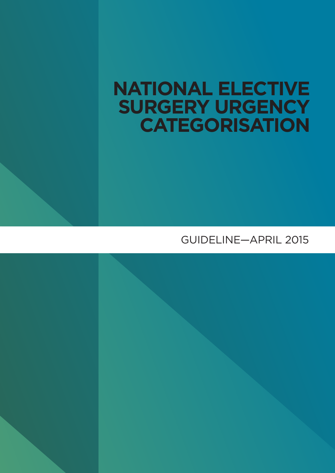## **NATIONAL ELECTIVE SURGERY URGENCY CATEGORISATION**

GUIDELINE—APRIL 2015

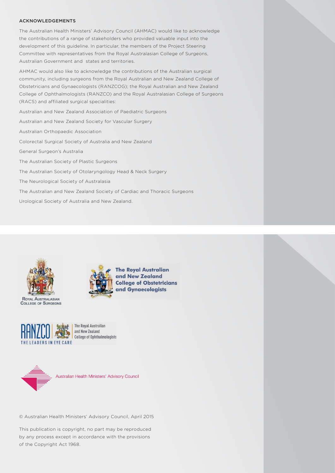#### ACKNOWLEDGEMENTS

The Australian Health Ministers' Advisory Council (AHMAC) would like to acknowledge the contributions of a range of stakeholders who provided valuable input into the development of this guideline. In particular, the members of the Project Steering Committee with representatives from the Royal Australasian College of Surgeons, Australian Government and states and territories.

AHMAC would also like to acknowledge the contributions of the Australian surgical community, including surgeons from the Royal Australian and New Zealand College of Obstetricians and Gynaecologists (RANZCOG); the Royal Australian and New Zealand College of Ophthalmologists (RANZCO) and the Royal Australasian College of Surgeons (RACS) and affiliated surgical specialities:

Australian and New Zealand Association of Paediatric Surgeons Australian and New Zealand Society for Vascular Surgery Australian Orthopaedic Association Colorectal Surgical Society of Australia and New Zealand General Surgeon's Australia The Australian Society of Plastic Surgeons The Australian Society of Otolaryngology Head & Neck Surgery The Neurological Society of Australasia The Australian and New Zealand Society of Cardiac and Thoracic Surgeons Urological Society of Australia and New Zealand.



COLLEGE OF SURGEONS



**The Royal Australian** and New Zealand **College of Obstetricians** and Gynaecologists

**The Royal Australian** 



and New Zealand College of Ophthalmologists



Australian Health Ministers' Advisory Council

© Australian Health Ministers' Advisory Council, April 2015

This publication is copyright, no part may be reproduced by any process except in accordance with the provisions of the Copyright Act 1968.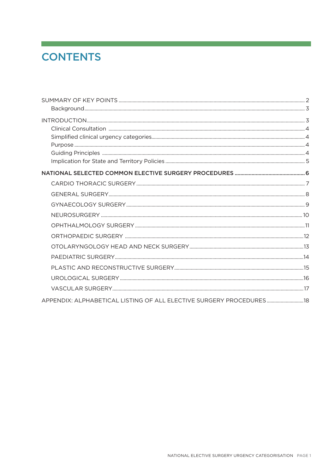## **CONTENTS**

| APPENDIX: ALPHABETICAL LISTING OF ALL ELECTIVE SURGERY PROCEDURES 18 |  |
|----------------------------------------------------------------------|--|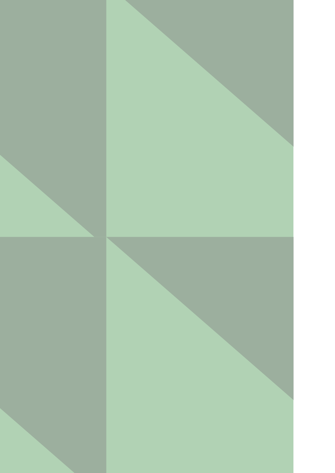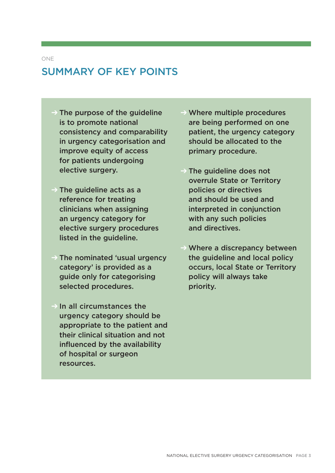#### <span id="page-4-0"></span>SUMMARY OF KEY POINTS

- $\rightarrow$  The purpose of the guideline is to promote national consistency and comparability in urgency categorisation and improve equity of access for patients undergoing elective surgery.
- $\rightarrow$  The guideline acts as a reference for treating clinicians when assigning an urgency category for elective surgery procedures listed in the guideline.
- $\rightarrow$  The nominated 'usual urgency category' is provided as a guide only for categorising selected procedures.
- $\rightarrow$  In all circumstances the urgency category should be appropriate to the patient and their clinical situation and not influenced by the availability of hospital or surgeon resources.
- $\rightarrow$  Where multiple procedures are being performed on one patient, the urgency category should be allocated to the primary procedure.
- $\rightarrow$  The guideline does not overrule State or Territory policies or directives and should be used and interpreted in conjunction with any such policies and directives.
- ➔ Where a discrepancy between the guideline and local policy occurs, local State or Territory policy will always take priority.

NATIONAL ELECTIVE SURGERY URGENCY CATEGORISATION PAGE 3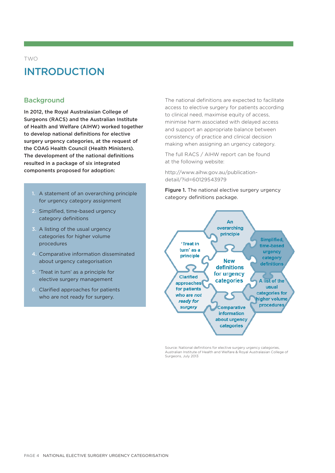#### <span id="page-5-0"></span>TWO

#### INTRODUCTION

#### **Background**

In 2012, the Royal Australasian College of Surgeons (RACS) and the Australian Institute of Health and Welfare (AIHW) worked together to develop national definitions for elective surgery urgency categories, at the request of the COAG Health Council (Health Ministers). The development of the national definitions resulted in a package of six integrated components proposed for adoption:

- 1. A statement of an overarching principle for urgency category assignment
- 2. Simplified, time-based urgency category definitions
- 3. A listing of the usual urgency categories for higher volume procedures
- 4. Comparative information disseminated about urgency categorisation
- 5. 'Treat in turn' as a principle for elective surgery management
- 6. Clarified approaches for patients who are not ready for surgery.

The national definitions are expected to facilitate access to elective surgery for patients according to clinical need, maximise equity of access, minimise harm associated with delayed access and support an appropriate balance between consistency of practice and clinical decision making when assigning an urgency category.

The full RACS / AIHW report can be found at the following website:

http://www.aihw.gov.au/publicationdetail/?id=60129543979

Figure 1. The national elective surgery urgency category definitions package.



Source: National definitions for elective surgery urgency categories, Australian Institute of Health and Welfare & Royal Australasian College of Surgeons, July 2013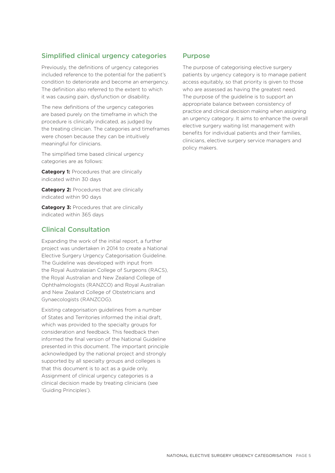#### <span id="page-6-0"></span>Simplified clinical urgency categories

Previously, the definitions of urgency categories included reference to the potential for the patient's condition to deteriorate and become an emergency. The definition also referred to the extent to which it was causing pain, dysfunction or disability.

The new definitions of the urgency categories are based purely on the timeframe in which the procedure is clinically indicated, as judged by the treating clinician. The categories and timeframes were chosen because they can be intuitively meaningful for clinicians.

The simplified time based clinical urgency categories are as follows:

**Category 1:** Procedures that are clinically indicated within 30 days

**Category 2: Procedures that are clinically** indicated within 90 days

**Category 3: Procedures that are clinically** indicated within 365 days

#### Clinical Consultation

Expanding the work of the initial report, a further project was undertaken in 2014 to create a National Elective Surgery Urgency Categorisation Guideline. The Guideline was developed with input from the Royal Australasian College of Surgeons (RACS), the Royal Australian and New Zealand College of Ophthalmologists (RANZCO) and Royal Australian and New Zealand College of Obstetricians and Gynaecologists (RANZCOG).

Existing categorisation guidelines from a number of States and Territories informed the initial draft, which was provided to the specialty groups for consideration and feedback. This feedback then informed the final version of the National Guideline presented in this document. The important principle acknowledged by the national project and strongly supported by all specialty groups and colleges is that this document is to act as a guide only. Assignment of clinical urgency categories is a clinical decision made by treating clinicians (see 'Guiding Principles').

#### Purpose

The purpose of categorising elective surgery patients by urgency category is to manage patient access equitably, so that priority is given to those who are assessed as having the greatest need. The purpose of the guideline is to support an appropriate balance between consistency of practice and clinical decision making when assigning an urgency category. It aims to enhance the overall elective surgery waiting list management with benefits for individual patients and their families, clinicians, elective surgery service managers and policy makers.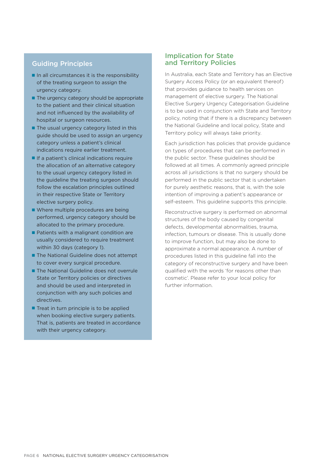#### <span id="page-7-0"></span>Guiding Principles

- $\blacksquare$  In all circumstances it is the responsibility of the treating surgeon to assign the urgency category.
- $\blacksquare$  The urgency category should be appropriate to the patient and their clinical situation and not influenced by the availability of hospital or surgeon resources.
- $\blacksquare$  The usual urgency category listed in this guide should be used to assign an urgency category unless a patient's clinical indications require earlier treatment.
- $\blacksquare$  If a patient's clinical indications require the allocation of an alternative category to the usual urgency category listed in the guideline the treating surgeon should follow the escalation principles outlined in their respective State or Territory elective surgery policy.
- $\blacksquare$  Where multiple procedures are being performed, urgency category should be allocated to the primary procedure.
- $\blacksquare$  Patients with a malignant condition are usually considered to require treatment within 30 days (category 1).
- The National Guideline does not attempt to cover every surgical procedure.
- The National Guideline does not overrule State or Territory policies or directives and should be used and interpreted in conjunction with any such policies and directives.
- $\blacksquare$  Treat in turn principle is to be applied when booking elective surgery patients. That is, patients are treated in accordance with their urgency category.

#### Implication for State and Territory Policies

In Australia, each State and Territory has an Elective Surgery Access Policy (or an equivalent thereof) that provides guidance to health services on management of elective surgery. The National Elective Surgery Urgency Categorisation Guideline is to be used in conjunction with State and Territory policy, noting that if there is a discrepancy between the National Guideline and local policy, State and Territory policy will always take priority.

Each jurisdiction has policies that provide guidance on types of procedures that can be performed in the public sector. These guidelines should be followed at all times. A commonly agreed principle across all jurisdictions is that no surgery should be performed in the public sector that is undertaken for purely aesthetic reasons, that is, with the sole intention of improving a patient's appearance or self-esteem. This guideline supports this principle.

Reconstructive surgery is performed on abnormal structures of the body caused by congenital defects, developmental abnormalities, trauma, infection, tumours or disease. This is usually done to improve function, but may also be done to approximate a normal appearance. A number of procedures listed in this guideline fall into the category of reconstructive surgery and have been qualified with the words 'for reasons other than cosmetic'. Please refer to your local policy for further information.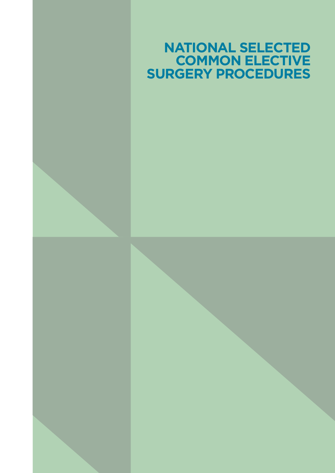# NATIONAL SELECTED<br>COMMON ELECTIVE<br>SURGERY PROCEDURES





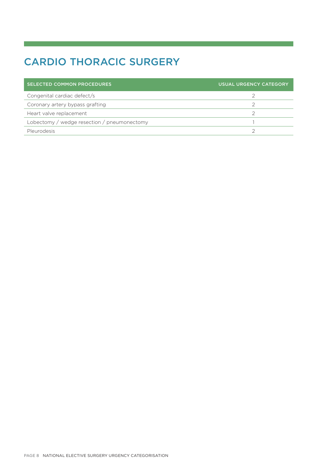## <span id="page-9-0"></span>CARDIO THORACIC SURGERY

| <b>SELECTED COMMON PROCEDURES</b>           | USUAL URGENCY CATEGORY |
|---------------------------------------------|------------------------|
| Congenital cardiac defect/s                 |                        |
| Coronary artery bypass grafting             |                        |
| Heart valve replacement                     |                        |
| Lobectomy / wedge resection / pneumonectomy |                        |
| Pleurodesis                                 |                        |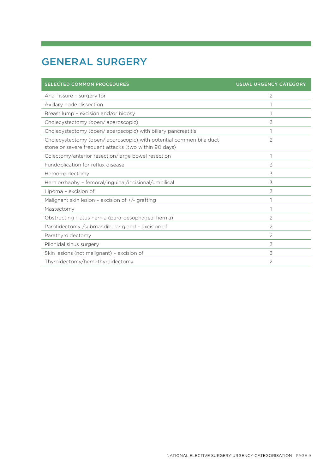#### GENERAL SURGERY

| <b>SELECTED COMMON PROCEDURES</b>                                                                                            | <b>USUAL URGENCY CATEGORY</b> |
|------------------------------------------------------------------------------------------------------------------------------|-------------------------------|
| Anal fissure - surgery for                                                                                                   | 2                             |
| Axillary node dissection                                                                                                     |                               |
| Breast lump - excision and/or biopsy                                                                                         |                               |
| Cholecystectomy (open/laparoscopic)                                                                                          | 3                             |
| Cholecystectomy (open/laparoscopic) with biliary pancreatitis                                                                |                               |
| Cholecystectomy (open/laparoscopic) with potential common bile duct<br>stone or severe frequent attacks (two within 90 days) | 2                             |
| Colectomy/anterior resection/large bowel resection                                                                           |                               |
| Fundoplication for reflux disease                                                                                            | 3                             |
| Hemorroidectomy                                                                                                              | 3                             |
| Herniorrhaphy - femoral/inguinal/incisional/umbilical                                                                        | 3                             |
| Lipoma - excision of                                                                                                         | 3                             |
| Malignant skin lesion - excision of $+/-$ grafting                                                                           |                               |
| Mastectomy                                                                                                                   |                               |
| Obstructing hiatus hernia (para-oesophageal hernia)                                                                          | 2                             |
| Parotidectomy /submandibular gland - excision of                                                                             | 2                             |
| Parathyroidectomy                                                                                                            | 2                             |
| Pilonidal sinus surgery                                                                                                      | 3                             |
| Skin lesions (not malignant) - excision of                                                                                   | 3                             |
| Thyroidectomy/hemi-thyroidectomy                                                                                             | 2                             |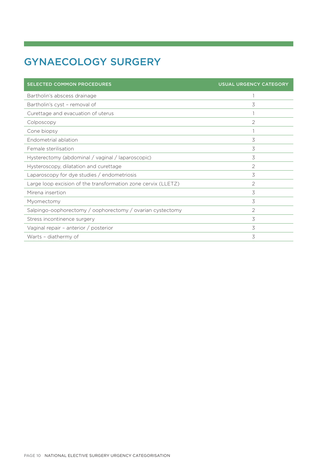## <span id="page-11-0"></span>GYNAECOLOGY SURGERY

| <b>SELECTED COMMON PROCEDURES</b>                             | <b>USUAL URGENCY CATEGORY</b> |
|---------------------------------------------------------------|-------------------------------|
| Bartholin's abscess drainage                                  |                               |
| Bartholin's cyst - removal of                                 | 3                             |
| Curettage and evacuation of uterus                            |                               |
| Colposcopy                                                    | 2                             |
| Cone biopsy                                                   |                               |
| Endometrial ablation                                          | 3                             |
| Female sterilisation                                          | 3                             |
| Hysterectomy (abdominal / vaginal / laparoscopic)             | 3                             |
| Hysteroscopy, dilatation and curettage                        | 2                             |
| Laparoscopy for dye studies / endometriosis                   | 3                             |
| Large loop excision of the transformation zone cervix (LLETZ) | 2                             |
| Mirena insertion                                              | 3                             |
| Myomectomy                                                    | 3                             |
| Salpingo-oophorectomy / oophorectomy / ovarian cystectomy     | 2                             |
| Stress incontinence surgery                                   | 3                             |
| Vaginal repair - anterior / posterior                         | 3                             |
| Warts - diathermy of                                          | 3                             |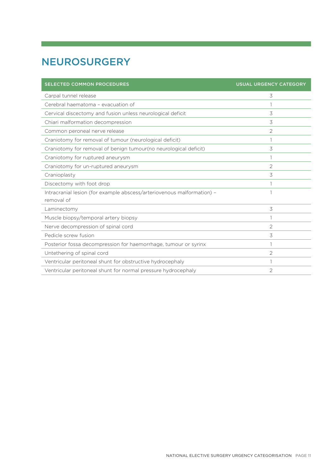#### <span id="page-12-0"></span>NEUROSURGERY

| <b>SELECTED COMMON PROCEDURES</b>                                                    | <b>USUAL URGENCY CATEGORY</b> |
|--------------------------------------------------------------------------------------|-------------------------------|
| Carpal tunnel release                                                                | 3                             |
| Cerebral haematoma - evacuation of                                                   |                               |
| Cervical discectomy and fusion unless neurological deficit                           | 3                             |
| Chiari malformation decompression                                                    | 3                             |
| Common peroneal nerve release                                                        | $\overline{2}$                |
| Craniotomy for removal of tumour (neurological deficit)                              | 1                             |
| Craniotomy for removal of benign tumour(no neurological deficit)                     | 3                             |
| Craniotomy for ruptured aneurysm                                                     | 1                             |
| Craniotomy for un-ruptured aneurysm                                                  | $\overline{2}$                |
| Cranioplasty                                                                         | 3                             |
| Discectomy with foot drop                                                            | 1                             |
| Intracranial lesion (for example abscess/arteriovenous malformation) -<br>removal of |                               |
| Laminectomy                                                                          | 3                             |
| Muscle biopsy/temporal artery biopsy                                                 | 1                             |
| Nerve decompression of spinal cord                                                   | $\overline{2}$                |
| Pedicle screw fusion                                                                 | 3                             |
| Posterior fossa decompression for haemorrhage, tumour or syrinx                      | 1                             |
| Untethering of spinal cord                                                           | 2                             |
| Ventricular peritoneal shunt for obstructive hydrocephaly                            | 1                             |
| Ventricular peritoneal shunt for normal pressure hydrocephaly                        | 2                             |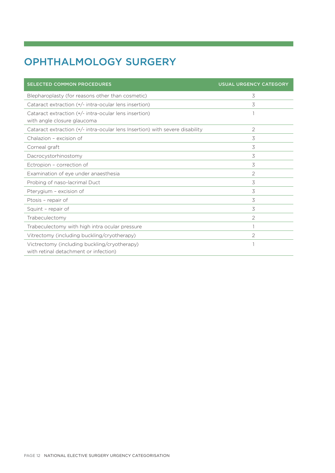## <span id="page-13-0"></span>OPHTHALMOLOGY SURGERY

| <b>SELECTED COMMON PROCEDURES</b>                                                     | <b>USUAL URGENCY CATEGORY</b> |
|---------------------------------------------------------------------------------------|-------------------------------|
| Blepharoplasty (for reasons other than cosmetic)                                      | 3                             |
| Cataract extraction (+/- intra-ocular lens insertion)                                 | 3                             |
| Cataract extraction (+/- intra-ocular lens insertion)<br>with angle closure glaucoma  |                               |
| Cataract extraction (+/- intra-ocular lens Insertion) with severe disability          | 2                             |
| Chalazion - excision of                                                               | 3                             |
| Corneal graft                                                                         | 3                             |
| Dacrocystorhinostomy                                                                  | 3                             |
| Ectropion - correction of                                                             | 3                             |
| Examination of eye under anaesthesia                                                  | 2                             |
| Probing of naso-lacrimal Duct                                                         | 3                             |
| Pterygium - excision of                                                               | 3                             |
| Ptosis - repair of                                                                    | 3                             |
| Squint - repair of                                                                    | 3                             |
| Trabeculectomy                                                                        | 2                             |
| Trabeculectomy with high intra ocular pressure                                        | 1                             |
| Vitrectomy (including buckling/cryotherapy)                                           | 2                             |
| Victrectomy (including buckling/cryotherapy)<br>with retinal detachment or infection) |                               |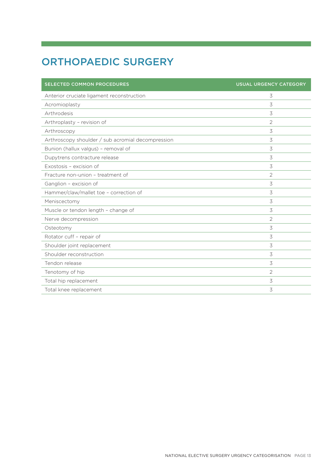## <span id="page-14-0"></span>ORTHOPAEDIC SURGERY

| <b>SELECTED COMMON PROCEDURES</b>                 | <b>USUAL URGENCY CATEGORY</b> |
|---------------------------------------------------|-------------------------------|
| Anterior cruciate ligament reconstruction         | 3                             |
| Acromioplasty                                     | 3                             |
| Arthrodesis                                       | 3                             |
| Arthroplasty - revision of                        | 2                             |
| Arthroscopy                                       | 3                             |
| Arthroscopy shoulder / sub acromial decompression | 3                             |
| Bunion (hallux valgus) - removal of               | 3                             |
| Dupytrens contracture release                     | 3                             |
| Exostosis - excision of                           | 3                             |
| Fracture non-union - treatment of                 | $\overline{2}$                |
| Ganglion - excision of                            | 3                             |
| Hammer/claw/mallet toe - correction of            | 3                             |
| Meniscectomy                                      | 3                             |
| Muscle or tendon length - change of               | 3                             |
| Nerve decompression                               | $\overline{2}$                |
| Osteotomy                                         | 3                             |
| Rotator cuff - repair of                          | 3                             |
| Shoulder joint replacement                        | 3                             |
| Shoulder reconstruction                           | 3                             |
| Tendon release                                    | 3                             |
| Tenotomy of hip                                   | $\overline{2}$                |
| Total hip replacement                             | 3                             |
| Total knee replacement                            | 3                             |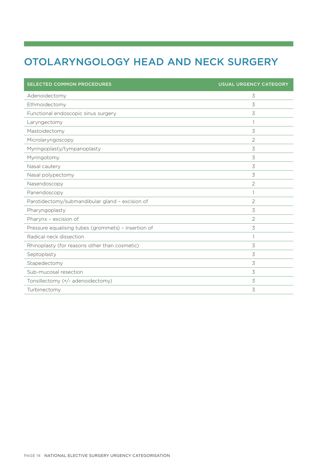## <span id="page-15-0"></span>OTOLARYNGOLOGY HEAD AND NECK SURGERY

| <b>SELECTED COMMON PROCEDURES</b>                   | <b>USUAL URGENCY CATEGORY</b> |
|-----------------------------------------------------|-------------------------------|
| Adenoidectomy                                       | 3                             |
| Ethmoidectomy                                       | 3                             |
| Functional endoscopic sinus surgery                 | 3                             |
| Laryngectomy                                        | 1                             |
| Mastoidectomy                                       | 3                             |
| Microlaryngoscopy                                   | $\overline{2}$                |
| Myringoplasty/tympanoplasty                         | 3                             |
| Myringotomy                                         | 3                             |
| Nasal cautery                                       | 3                             |
| Nasal polypectomy                                   | 3                             |
| Nasendoscopy                                        | $\overline{2}$                |
| Panendoscopy                                        | 1                             |
| Parotidectomy/submandibular gland - excision of     | $\overline{2}$                |
| Pharyngoplasty                                      | 3                             |
| Pharynx - excision of                               | $\overline{2}$                |
| Pressure equalising tubes (grommets) - insertion of | 3                             |
| Radical neck dissection                             | 1                             |
| Rhinoplasty (for reasons other than cosmetic)       | $\overline{3}$                |
| Septoplasty                                         | 3                             |
| Stapedectomy                                        | 3                             |
| Sub-mucosal resection                               | 3                             |
| Tonsillectomy (+/- adenoidectomy)                   | 3                             |
| Turbinectomy                                        | 3                             |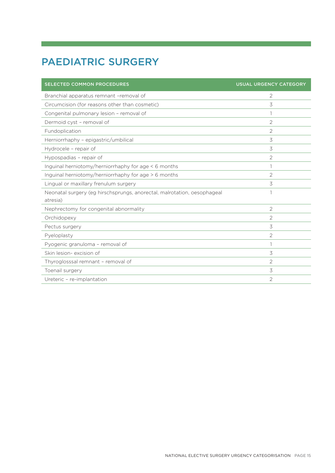#### <span id="page-16-0"></span>PAEDIATRIC SURGERY

| <b>SELECTED COMMON PROCEDURES</b>                                                   | <b>USUAL URGENCY CATEGORY</b> |
|-------------------------------------------------------------------------------------|-------------------------------|
| Branchial apparatus remnant -removal of                                             | 2                             |
| Circumcision (for reasons other than cosmetic)                                      | 3                             |
| Congenital pulmonary lesion - removal of                                            | 1                             |
| Dermoid cyst - removal of                                                           | $\overline{2}$                |
| Fundoplication                                                                      | $\overline{2}$                |
| Herniorrhaphy - epigastric/umbilical                                                | 3                             |
| Hydrocele - repair of                                                               | 3                             |
| Hypospadias - repair of                                                             | $\overline{2}$                |
| Inguinal herniotomy/herniorrhaphy for age < 6 months                                | 1                             |
| Inguinal herniotomy/herniorrhaphy for age > 6 months                                | $\overline{2}$                |
| Lingual or maxillary frenulum surgery                                               | 3                             |
| Neonatal surgery (eg hirschsprungs, anorectal, malrotation, oesophageal<br>atresia) |                               |
| Nephrectomy for congenital abnormality                                              | $\overline{2}$                |
| Orchidopexy                                                                         | 2                             |
| Pectus surgery                                                                      | 3                             |
| Pyeloplasty                                                                         | $\overline{2}$                |
| Pyogenic granuloma - removal of                                                     | 1                             |
| Skin lesion-excision of                                                             | 3                             |
| Thyroglosssal remnant - removal of                                                  | $\overline{2}$                |
| Toenail surgery                                                                     | 3                             |
| Ureteric - re-implantation                                                          | $\overline{2}$                |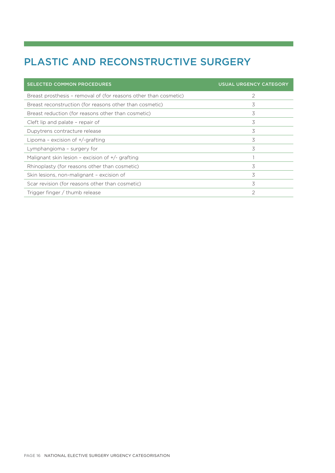## <span id="page-17-0"></span>PLASTIC AND RECONSTRUCTIVE SURGERY

| <b>SELECTED COMMON PROCEDURES</b>                                | <b>USUAL URGENCY CATEGORY</b> |
|------------------------------------------------------------------|-------------------------------|
| Breast prosthesis - removal of (for reasons other than cosmetic) | 2                             |
| Breast reconstruction (for reasons other than cosmetic)          | 3                             |
| Breast reduction (for reasons other than cosmetic)               | 3                             |
| Cleft lip and palate - repair of                                 | 3                             |
| Dupytrens contracture release                                    | 3                             |
| Lipoma - excision of $+/-$ grafting                              | 3                             |
| Lymphangioma - surgery for                                       | 3                             |
| Malignant skin lesion - excision of +/- grafting                 |                               |
| Rhinoplasty (for reasons other than cosmetic)                    | 3                             |
| Skin lesions, non-malignant - excision of                        | 3                             |
| Scar revision (for reasons other than cosmetic)                  | 3                             |
| Trigger finger / thumb release                                   | 2                             |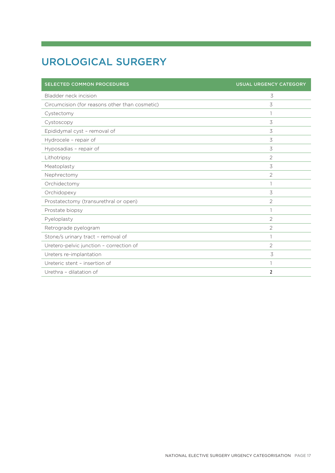## <span id="page-18-0"></span>UROLOGICAL SURGERY

| <b>SELECTED COMMON PROCEDURES</b>              | <b>USUAL URGENCY CATEGORY</b> |
|------------------------------------------------|-------------------------------|
| Bladder neck incision                          | 3                             |
| Circumcision (for reasons other than cosmetic) | 3                             |
| Cystectomy                                     |                               |
| Cystoscopy                                     | 3                             |
| Epididymal cyst - removal of                   | 3                             |
| Hydrocele - repair of                          | 3                             |
| Hyposadias - repair of                         | 3                             |
| Lithotripsy                                    | $\overline{2}$                |
| Meatoplasty                                    | 3                             |
| Nephrectomy                                    | $\overline{2}$                |
| Orchidectomy                                   | 1                             |
| Orchidopexy                                    | 3                             |
| Prostatectomy (transurethral or open)          | $\overline{2}$                |
| Prostate biopsy                                | 1                             |
| Pyeloplasty                                    | $\overline{2}$                |
| Retrograde pyelogram                           | $\overline{2}$                |
| Stone/s urinary tract - removal of             | 1                             |
| Uretero-pelvic junction - correction of        | $\overline{2}$                |
| Ureters re-implantation                        | 3                             |
| Ureteric stent - insertion of                  | 1                             |
| Urethra - dilatation of                        | 2                             |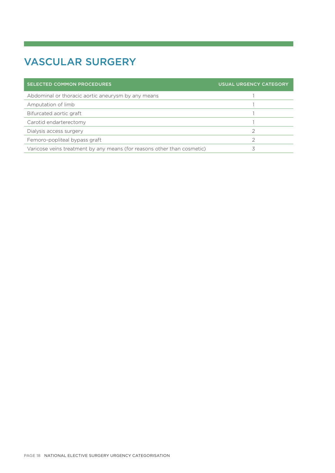## <span id="page-19-0"></span>VASCULAR SURGERY

| <b>SELECTED COMMON PROCEDURES</b>                                       | <b>USUAL URGENCY CATEGORY</b> |
|-------------------------------------------------------------------------|-------------------------------|
| Abdominal or thoracic aortic aneurysm by any means                      |                               |
| Amputation of limb                                                      |                               |
| Bifurcated aortic graft                                                 |                               |
| Carotid endarterectomy                                                  |                               |
| Dialysis access surgery                                                 | っ                             |
| Femoro-popliteal bypass graft                                           |                               |
| Varicose veins treatment by any means (for reasons other than cosmetic) |                               |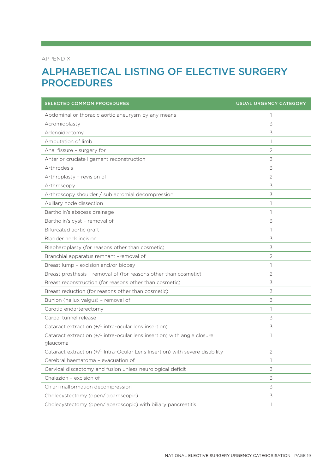#### <span id="page-20-0"></span>APPENDIX

#### ALPHABETICAL LISTING OF ELECTIVE SURGERY PROCEDURES

| <b>SELECTED COMMON PROCEDURES</b>                                                    | <b>USUAL URGENCY CATEGORY</b> |
|--------------------------------------------------------------------------------------|-------------------------------|
| Abdominal or thoracic aortic aneurysm by any means                                   |                               |
| Acromioplasty                                                                        | 3                             |
| Adenoidectomy                                                                        | 3                             |
| Amputation of limb                                                                   | 1                             |
| Anal fissure - surgery for                                                           | $\overline{2}$                |
| Anterior cruciate ligament reconstruction                                            | 3                             |
| Arthrodesis                                                                          | 3                             |
| Arthroplasty - revision of                                                           | 2                             |
| Arthroscopy                                                                          | 3                             |
| Arthroscopy shoulder / sub acromial decompression                                    | 3                             |
| Axillary node dissection                                                             | 1                             |
| Bartholin's abscess drainage                                                         | 1                             |
| Bartholin's cyst - removal of                                                        | 3                             |
| Bifurcated aortic graft                                                              |                               |
| Bladder neck incision                                                                | 3                             |
| Blepharoplasty (for reasons other than cosmetic)                                     | 3                             |
| Branchial apparatus remnant -removal of                                              | $\overline{2}$                |
| Breast lump - excision and/or biopsy                                                 | 1                             |
| Breast prosthesis - removal of (for reasons other than cosmetic)                     | $\overline{2}$                |
| Breast reconstruction (for reasons other than cosmetic)                              | 3                             |
| Breast reduction (for reasons other than cosmetic)                                   | 3                             |
| Bunion (hallux valgus) - removal of                                                  | 3                             |
| Carotid endarterectomy                                                               | 1                             |
| Carpal tunnel release                                                                | 3                             |
| Cataract extraction (+/- intra-ocular lens insertion)                                | 3                             |
| Cataract extraction (+/- intra-ocular lens insertion) with angle closure<br>glaucoma | 1                             |
| Cataract extraction (+/- Intra-Ocular Lens Insertion) with severe disability         |                               |
| Cerebral haematoma - evacuation of                                                   |                               |
| Cervical discectomy and fusion unless neurological deficit                           | 3                             |
| Chalazion - excision of                                                              | 3                             |
| Chiari malformation decompression                                                    | 3                             |
| Cholecystectomy (open/laparoscopic)                                                  | 3                             |
| Cholecystectomy (open/laparoscopic) with biliary pancreatitis                        |                               |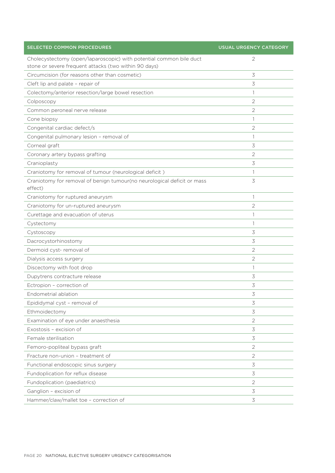| <b>SELECTED COMMON PROCEDURES</b>                                                  | <b>USUAL URGENCY CATEGORY</b> |
|------------------------------------------------------------------------------------|-------------------------------|
| Cholecystectomy (open/laparoscopic) with potential common bile duct                | 2                             |
| stone or severe frequent attacks (two within 90 days)                              |                               |
| Circumcision (for reasons other than cosmetic)                                     | 3                             |
| Cleft lip and palate - repair of                                                   | 3                             |
| Colectomy/anterior resection/large bowel resection                                 | 1                             |
| Colposcopy                                                                         | $\overline{2}$                |
| Common peroneal nerve release                                                      | 2                             |
| Cone biopsy                                                                        | 1                             |
| Congenital cardiac defect/s                                                        | 2                             |
| Congenital pulmonary lesion - removal of                                           | 1                             |
| Corneal graft                                                                      | 3                             |
| Coronary artery bypass grafting                                                    | 2                             |
| Cranioplasty                                                                       | 3                             |
| Craniotomy for removal of tumour (neurological deficit)                            | 1                             |
| Craniotomy for removal of benign tumour(no neurological deficit or mass<br>effect) | 3                             |
| Craniotomy for ruptured aneurysm                                                   | 1                             |
| Craniotomy for un-ruptured aneurysm                                                | $\overline{2}$                |
| Curettage and evacuation of uterus                                                 | 1                             |
| Cystectomy                                                                         | 1                             |
| Cystoscopy                                                                         | 3                             |
| Dacrocystorhinostomy                                                               | 3                             |
| Dermoid cyst-removal of                                                            | $\overline{2}$                |
| Dialysis access surgery                                                            | 2                             |
| Discectomy with foot drop                                                          | $\mathbf{1}$                  |
| Dupytrens contracture release                                                      | 3                             |
| Ectropion - correction of                                                          | 3                             |
| Endometrial ablation                                                               | 3                             |
| Epididymal cyst - removal of                                                       | 3                             |
| Ethmoidectomy                                                                      | 3                             |
| Examination of eye under anaesthesia                                               | $\overline{2}$                |
| Exostosis - excision of                                                            | 3                             |
| Female sterilisation                                                               | 3                             |
| Femoro-popliteal bypass graft                                                      | $\overline{2}$                |
| Fracture non-union - treatment of                                                  | $\overline{2}$                |
| Functional endoscopic sinus surgery                                                | 3                             |
| Fundoplication for reflux disease                                                  | 3                             |
| Fundoplication (paediatrics)                                                       | $\overline{2}$                |
| Ganglion - excision of                                                             | 3                             |
| Hammer/claw/mallet toe - correction of                                             | 3                             |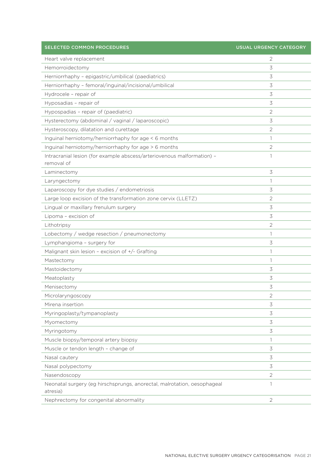| <b>SELECTED COMMON PROCEDURES</b>                                                    | <b>USUAL URGENCY CATEGORY</b> |
|--------------------------------------------------------------------------------------|-------------------------------|
| Heart valve replacement                                                              | 2                             |
| Hemorroidectomy                                                                      | 3                             |
| Herniorrhaphy - epigastric/umbilical (paediatrics)                                   | 3                             |
| Herniorrhaphy - femoral/inguinal/incisional/umbilical                                | 3                             |
| Hydrocele - repair of                                                                | 3                             |
| Hyposadias - repair of                                                               | 3                             |
| Hypospadias - repair of (paediatric)                                                 | $\overline{2}$                |
| Hysterectomy (abdominal / vaginal / laparoscopic)                                    | 3                             |
| Hysteroscopy, dilatation and curettage                                               | $\overline{2}$                |
| Inguinal herniotomy/herniorrhaphy for age < 6 months                                 | 1                             |
| Inguinal herniotomy/herniorrhaphy for age > 6 months                                 | 2                             |
| Intracranial lesion (for example abscess/arteriovenous malformation) -<br>removal of | 1                             |
| Laminectomy                                                                          | 3                             |
| Laryngectomy                                                                         | 1                             |
| Laparoscopy for dye studies / endometriosis                                          | 3                             |
| Large loop excision of the transformation zone cervix (LLETZ)                        | 2                             |
| Lingual or maxillary frenulum surgery                                                | 3                             |
| Lipoma - excision of                                                                 | 3                             |
| Lithotripsy                                                                          | $\overline{2}$                |
| Lobectomy / wedge resection / pneumonectomy                                          | 1                             |
| Lymphangioma - surgery for                                                           | 3                             |
| Malignant skin lesion - excision of +/- Grafting                                     | 1                             |
| Mastectomy                                                                           | 1                             |
| Mastoidectomy                                                                        | 3                             |
| Meatoplasty                                                                          | 3                             |
| Menisectomy                                                                          | 3                             |
| Microlaryngoscopy                                                                    | $\mathbf{2}$                  |
| Mirena insertion                                                                     | 3                             |
| Myringoplasty/tympanoplasty                                                          | 3                             |
| Myomectomy                                                                           | 3                             |
| Myringotomy                                                                          | 3                             |
| Muscle biopsy/temporal artery biopsy                                                 | 1                             |
| Muscle or tendon length - change of                                                  | 3                             |
| Nasal cautery                                                                        | 3                             |
| Nasal polypectomy                                                                    | $\preceq$                     |
| Nasendoscopy                                                                         | $\overline{2}$                |
| Neonatal surgery (eg hirschsprungs, anorectal, malrotation, oesophageal<br>atresia)  | 1                             |
| Nephrectomy for congenital abnormality                                               | $\mathbf{2}$                  |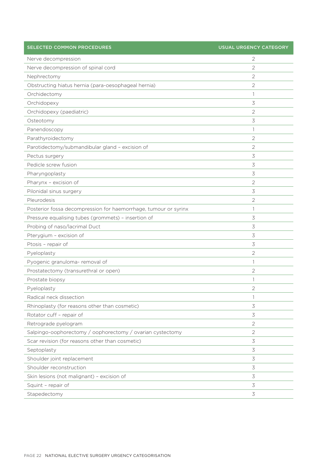| SELECTED COMMON PROCEDURES                                      | <b>USUAL URGENCY CATEGORY</b> |
|-----------------------------------------------------------------|-------------------------------|
| Nerve decompression                                             | 2                             |
| Nerve decompression of spinal cord                              | 2                             |
| Nephrectomy                                                     | 2                             |
| Obstructing hiatus hernia (para-oesophageal hernia)             | $\overline{2}$                |
| Orchidectomy                                                    |                               |
| Orchidopexy                                                     | 3                             |
| Orchidopexy (paediatric)                                        | $\overline{2}$                |
| Osteotomy                                                       | 3                             |
| Panendoscopy                                                    |                               |
| Parathyroidectomy                                               | $\mathbf{2}$                  |
| Parotidectomy/submandibular gland - excision of                 | 2                             |
| Pectus surgery                                                  | 3                             |
| Pedicle screw fusion                                            | 3                             |
| Pharyngoplasty                                                  | 3                             |
| Pharynx - excision of                                           | 2                             |
| Pilonidal sinus surgery                                         | 3                             |
| Pleurodesis                                                     | $\overline{2}$                |
| Posterior fossa decompression for haemorrhage, tumour or syrinx | 1                             |
| Pressure equalising tubes (grommets) - insertion of             | 3                             |
| Probing of naso/lacrimal Duct                                   | $\overline{3}$                |
| Pterygium - excision of                                         | 3                             |
| Ptosis - repair of                                              | 3                             |
| Pyeloplasty                                                     | $\overline{2}$                |
| Pyogenic granuloma- removal of                                  | 1                             |
| Prostatectomy (transurethral or open)                           | $\overline{2}$                |
| Prostate biopsy                                                 | 1                             |
| Pyeloplasty                                                     | $\overline{2}$                |
| Radical neck dissection                                         |                               |
| Rhinoplasty (for reasons other than cosmetic)                   | 3                             |
| Rotator cuff - repair of                                        | 3                             |
| Retrograde pyelogram                                            | $\overline{2}$                |
| Salpingo-oophorectomy / oophorectomy / ovarian cystectomy       | 2                             |
| Scar revision (for reasons other than cosmetic)                 | 3                             |
| Septoplasty                                                     | 3                             |
| Shoulder joint replacement                                      | $\mathcal{Z}$                 |
| Shoulder reconstruction                                         | 3                             |
| Skin lesions (not malignant) - excision of                      | $\mathcal{Z}$                 |
| Squint - repair of                                              | $\mathcal{Z}$                 |
| Stapedectomy                                                    | $\preceq$                     |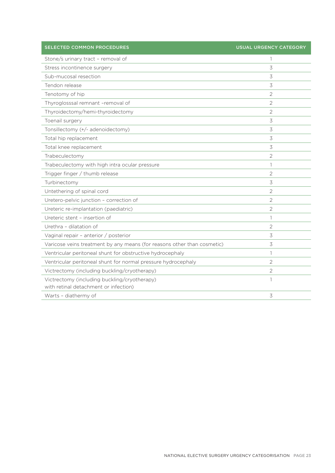| <b>SELECTED COMMON PROCEDURES</b>                                                     | <b>USUAL URGENCY CATEGORY</b> |
|---------------------------------------------------------------------------------------|-------------------------------|
| Stone/s urinary tract - removal of                                                    | 1                             |
| Stress incontinence surgery                                                           | 3                             |
| Sub-mucosal resection                                                                 | 3                             |
| Tendon release                                                                        | 3                             |
| Tenotomy of hip                                                                       | $\overline{2}$                |
| Thyroglosssal remnant -removal of                                                     | $\overline{2}$                |
| Thyroidectomy/hemi-thyroidectomy                                                      | $\overline{2}$                |
| Toenail surgery                                                                       | 3                             |
| Tonsillectomy (+/- adenoidectomy)                                                     | 3                             |
| Total hip replacement                                                                 | 3                             |
| Total knee replacement                                                                | 3                             |
| Trabeculectomy                                                                        | 2                             |
| Trabeculectomy with high intra ocular pressure                                        | 1                             |
| Trigger finger / thumb release                                                        | $\overline{2}$                |
| Turbinectomy                                                                          | 3                             |
| Untethering of spinal cord                                                            | $\overline{2}$                |
| Uretero-pelvic junction - correction of                                               | $\overline{2}$                |
| Ureteric re-implantation (paediatric)                                                 | $\overline{2}$                |
| Ureteric stent - insertion of                                                         | 1                             |
| Urethra - dilatation of                                                               | $\overline{2}$                |
| Vaginal repair - anterior / posterior                                                 | $\preceq$                     |
| Varicose veins treatment by any means (for reasons other than cosmetic)               | 3                             |
| Ventricular peritoneal shunt for obstructive hydrocephaly                             | 1                             |
| Ventricular peritoneal shunt for normal pressure hydrocephaly                         | $\overline{2}$                |
| Victrectomy (including buckling/cryotherapy)                                          | $\overline{2}$                |
| Victrectomy (including buckling/cryotherapy)<br>with retinal detachment or infection) | 1                             |
| Warts - diathermy of                                                                  | 3                             |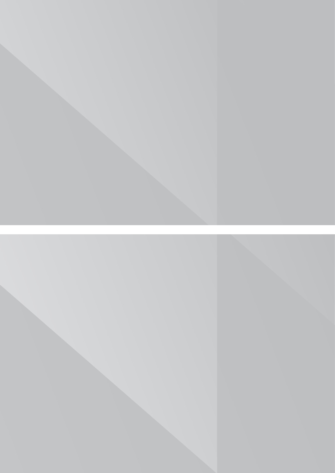